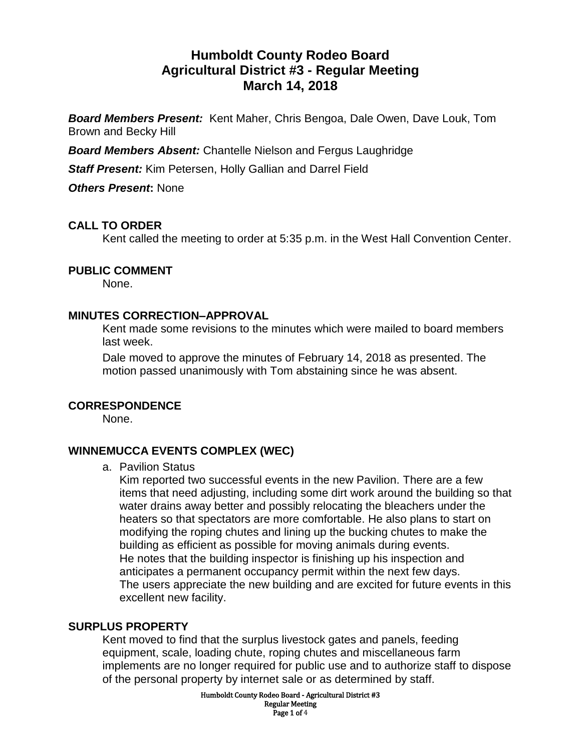# **Humboldt County Rodeo Board Agricultural District #3 - Regular Meeting March 14, 2018**

*Board Members Present:* Kent Maher, Chris Bengoa, Dale Owen, Dave Louk, Tom Brown and Becky Hill

*Board Members Absent:* Chantelle Nielson and Fergus Laughridge

*Staff Present:* Kim Petersen, Holly Gallian and Darrel Field

*Others Present***:** None

# **CALL TO ORDER**

Kent called the meeting to order at 5:35 p.m. in the West Hall Convention Center.

### **PUBLIC COMMENT**

None.

### **MINUTES CORRECTION–APPROVAL**

Kent made some revisions to the minutes which were mailed to board members last week.

Dale moved to approve the minutes of February 14, 2018 as presented. The motion passed unanimously with Tom abstaining since he was absent.

### **CORRESPONDENCE**

None.

### **WINNEMUCCA EVENTS COMPLEX (WEC)**

a. Pavilion Status

Kim reported two successful events in the new Pavilion. There are a few items that need adjusting, including some dirt work around the building so that water drains away better and possibly relocating the bleachers under the heaters so that spectators are more comfortable. He also plans to start on modifying the roping chutes and lining up the bucking chutes to make the building as efficient as possible for moving animals during events. He notes that the building inspector is finishing up his inspection and anticipates a permanent occupancy permit within the next few days. The users appreciate the new building and are excited for future events in this excellent new facility.

### **SURPLUS PROPERTY**

Kent moved to find that the surplus livestock gates and panels, feeding equipment, scale, loading chute, roping chutes and miscellaneous farm implements are no longer required for public use and to authorize staff to dispose of the personal property by internet sale or as determined by staff.

> Humboldt County Rodeo Board - Agricultural District #3 Regular Meeting Page 1 of 4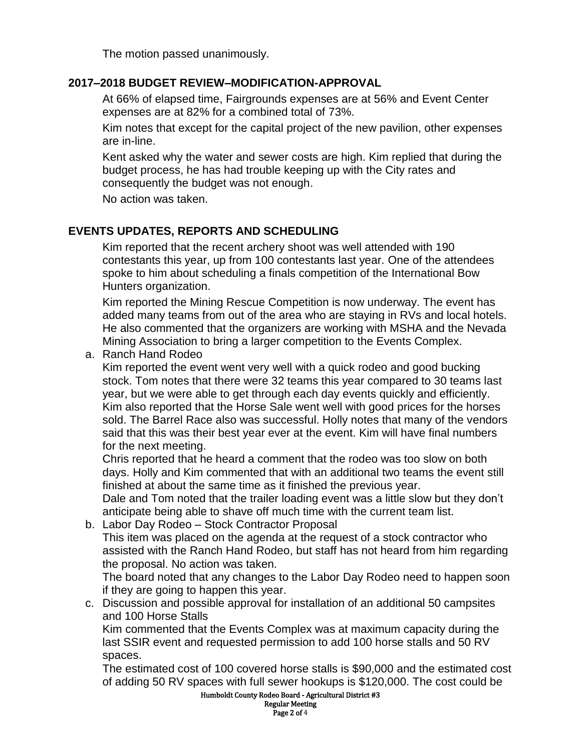The motion passed unanimously.

### **2017–2018 BUDGET REVIEW–MODIFICATION-APPROVAL**

At 66% of elapsed time, Fairgrounds expenses are at 56% and Event Center expenses are at 82% for a combined total of 73%.

Kim notes that except for the capital project of the new pavilion, other expenses are in-line.

Kent asked why the water and sewer costs are high. Kim replied that during the budget process, he has had trouble keeping up with the City rates and consequently the budget was not enough.

No action was taken.

### **EVENTS UPDATES, REPORTS AND SCHEDULING**

Kim reported that the recent archery shoot was well attended with 190 contestants this year, up from 100 contestants last year. One of the attendees spoke to him about scheduling a finals competition of the International Bow Hunters organization.

Kim reported the Mining Rescue Competition is now underway. The event has added many teams from out of the area who are staying in RVs and local hotels. He also commented that the organizers are working with MSHA and the Nevada Mining Association to bring a larger competition to the Events Complex.

a. Ranch Hand Rodeo

Kim reported the event went very well with a quick rodeo and good bucking stock. Tom notes that there were 32 teams this year compared to 30 teams last year, but we were able to get through each day events quickly and efficiently. Kim also reported that the Horse Sale went well with good prices for the horses sold. The Barrel Race also was successful. Holly notes that many of the vendors said that this was their best year ever at the event. Kim will have final numbers for the next meeting.

Chris reported that he heard a comment that the rodeo was too slow on both days. Holly and Kim commented that with an additional two teams the event still finished at about the same time as it finished the previous year.

Dale and Tom noted that the trailer loading event was a little slow but they don't anticipate being able to shave off much time with the current team list.

b. Labor Day Rodeo – Stock Contractor Proposal This item was placed on the agenda at the request of a stock contractor who assisted with the Ranch Hand Rodeo, but staff has not heard from him regarding the proposal. No action was taken.

The board noted that any changes to the Labor Day Rodeo need to happen soon if they are going to happen this year.

c. Discussion and possible approval for installation of an additional 50 campsites and 100 Horse Stalls

Kim commented that the Events Complex was at maximum capacity during the last SSIR event and requested permission to add 100 horse stalls and 50 RV spaces.

The estimated cost of 100 covered horse stalls is \$90,000 and the estimated cost of adding 50 RV spaces with full sewer hookups is \$120,000. The cost could be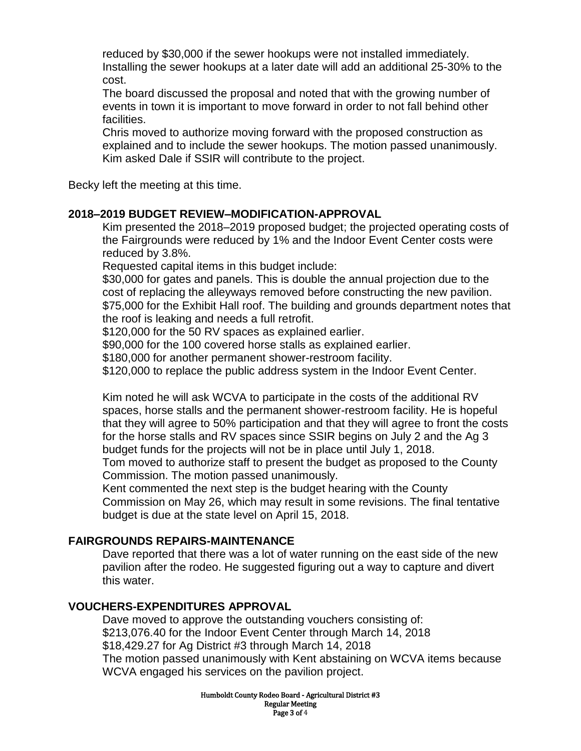reduced by \$30,000 if the sewer hookups were not installed immediately. Installing the sewer hookups at a later date will add an additional 25-30% to the cost.

The board discussed the proposal and noted that with the growing number of events in town it is important to move forward in order to not fall behind other facilities.

Chris moved to authorize moving forward with the proposed construction as explained and to include the sewer hookups. The motion passed unanimously. Kim asked Dale if SSIR will contribute to the project.

Becky left the meeting at this time.

### **2018–2019 BUDGET REVIEW–MODIFICATION-APPROVAL**

Kim presented the 2018–2019 proposed budget; the projected operating costs of the Fairgrounds were reduced by 1% and the Indoor Event Center costs were reduced by 3.8%.

Requested capital items in this budget include:

\$30,000 for gates and panels. This is double the annual projection due to the cost of replacing the alleyways removed before constructing the new pavilion. \$75,000 for the Exhibit Hall roof. The building and grounds department notes that the roof is leaking and needs a full retrofit.

\$120,000 for the 50 RV spaces as explained earlier.

\$90,000 for the 100 covered horse stalls as explained earlier.

\$180,000 for another permanent shower-restroom facility.

\$120,000 to replace the public address system in the Indoor Event Center.

Kim noted he will ask WCVA to participate in the costs of the additional RV spaces, horse stalls and the permanent shower-restroom facility. He is hopeful that they will agree to 50% participation and that they will agree to front the costs for the horse stalls and RV spaces since SSIR begins on July 2 and the Ag 3 budget funds for the projects will not be in place until July 1, 2018.

Tom moved to authorize staff to present the budget as proposed to the County Commission. The motion passed unanimously.

Kent commented the next step is the budget hearing with the County Commission on May 26, which may result in some revisions. The final tentative budget is due at the state level on April 15, 2018.

### **FAIRGROUNDS REPAIRS-MAINTENANCE**

Dave reported that there was a lot of water running on the east side of the new pavilion after the rodeo. He suggested figuring out a way to capture and divert this water.

# **VOUCHERS-EXPENDITURES APPROVAL**

Dave moved to approve the outstanding vouchers consisting of: \$213,076.40 for the Indoor Event Center through March 14, 2018 \$18,429.27 for Ag District #3 through March 14, 2018 The motion passed unanimously with Kent abstaining on WCVA items because WCVA engaged his services on the pavilion project.

> Humboldt County Rodeo Board - Agricultural District #3 Regular Meeting Page 3 of 4